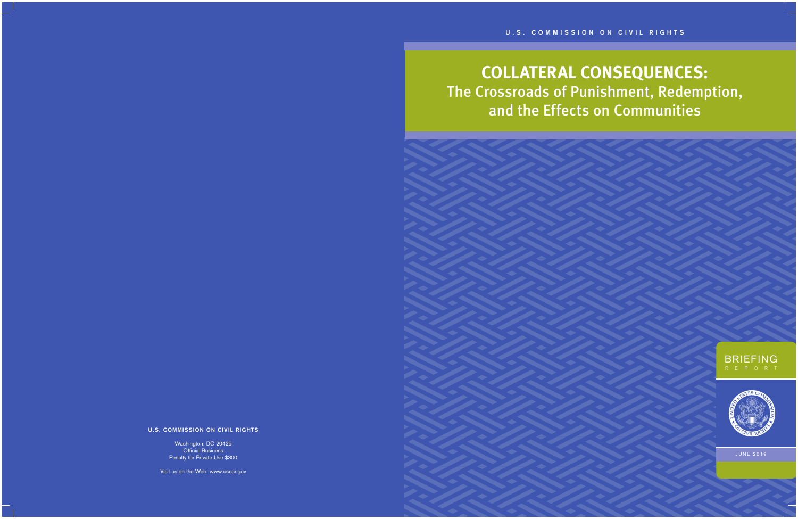

# **COLLATERAL CONSEQUENCES:** The Crossroads of Punishment, Redemption, and the Effects on Communities

#### **U.S. COMMISSION ON CIVIL RIGHTS**

Washington, DC 20425 Official Business Penalty for Private Use \$300

Visit us on the Web: www.usccr.gov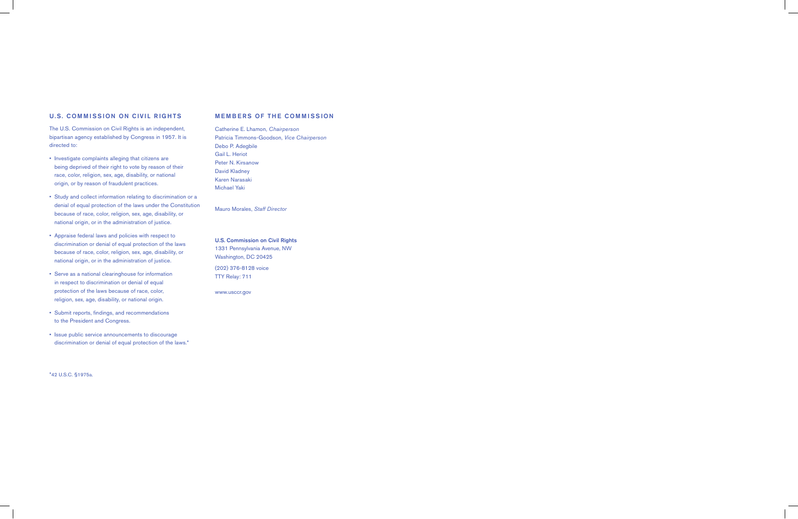#### U.S. COMMISSION ON CIVIL RIGHTS

The U.S. Commission on Civil Rights is an independent, bipartisan agency established by Congress in 1957. It is directed to:

- Investigate complaints alleging that citizens are being deprived of their right to vote by reason of their race, color, religion, sex, age, disability, or national origin, or by reason of fraudulent practices.
- Study and collect information relating to discrimination or a denial of equal protection of the laws under the Constitution because of race, color, religion, sex, age, disability, or national origin, or in the administration of justice.
- Appraise federal laws and policies with respect to discrimination or denial of equal protection of the laws because of race, color, religion, sex, age, disability, or national origin, or in the administration of justice.
- Serve as a national clearinghouse for information in respect to discrimination or denial of equal protection of the laws because of race, color, religion, sex, age, disability, or national origin.
- Submit reports, findings, and recommendations to the President and Congress.
- Issue public service announcements to discourage discrimination or denial of equal protection of the laws.\*

#### MEMBERS OF THE COMMISSION

Catherine E. Lhamon, *Chairperson* Patricia Timmons-Goodson, *Vice Chairperson* Debo P. Adegbile Gail L. Heriot Peter N. Kirsanow David Kladney Karen Narasaki Michael Yaki

Mauro Morales, *Staff Director*

U.S. Commission on Civil Rights 1331 Pennsylvania Avenue, NW Washington, DC 20425 (202) 376-8128 voice TTY Relay: 711

www.usccr.gov

 $\overline{\phantom{a}}$ 

\*42 U.S.C. §1975a.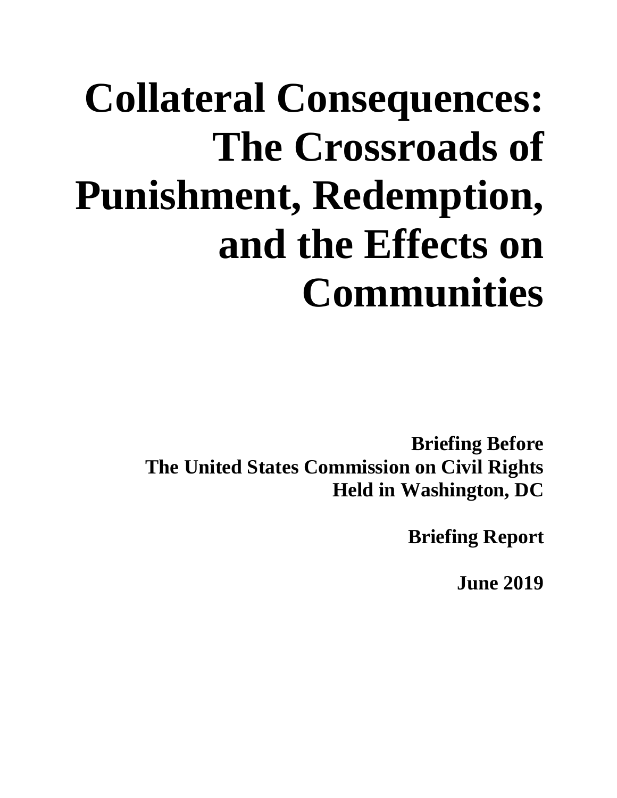# **Collateral Consequences: The Crossroads of Punishment, Redemption, and the Effects on Communities**

**Briefing Before The United States Commission on Civil Rights Held in Washington, DC** 

**Briefing Report** 

**June 2019**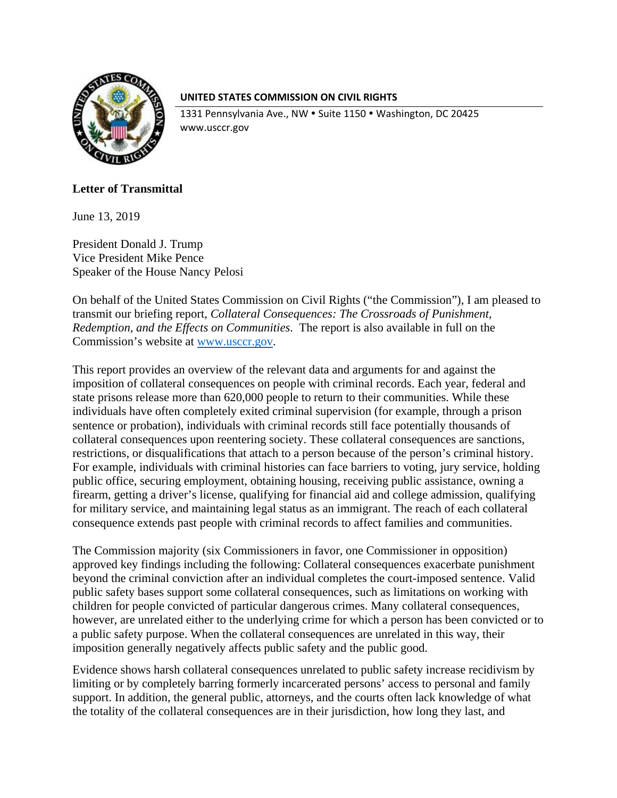

### **UNITED STATES COMMISSION ON CIVIL RIGHTS**

1331 Pennsylvania Ave., NW · Suite 1150 · Washington, DC 20425 www.usccr.gov

# **Letter of Transmittal**

June 13, 2019

President Donald J. Trump Vice President Mike Pence Speaker of the House Nancy Pelosi

On behalf of the United States Commission on Civil Rights ("the Commission"), I am pleased to transmit our briefing report, *Collateral Consequences: The Crossroads of Punishment, Redemption, and the Effects on Communities*. The report is also available in full on the Commission's website at www.usccr.gov.

This report provides an overview of the relevant data and arguments for and against the imposition of collateral consequences on people with criminal records. Each year, federal and state prisons release more than 620,000 people to return to their communities. While these individuals have often completely exited criminal supervision (for example, through a prison sentence or probation), individuals with criminal records still face potentially thousands of collateral consequences upon reentering society. These collateral consequences are sanctions, restrictions, or disqualifications that attach to a person because of the person's criminal history. For example, individuals with criminal histories can face barriers to voting, jury service, holding public office, securing employment, obtaining housing, receiving public assistance, owning a firearm, getting a driver's license, qualifying for financial aid and college admission, qualifying for military service, and maintaining legal status as an immigrant. The reach of each collateral consequence extends past people with criminal records to affect families and communities.

The Commission majority (six Commissioners in favor, one Commissioner in opposition) approved key findings including the following: Collateral consequences exacerbate punishment beyond the criminal conviction after an individual completes the court-imposed sentence. Valid public safety bases support some collateral consequences, such as limitations on working with children for people convicted of particular dangerous crimes. Many collateral consequences, however, are unrelated either to the underlying crime for which a person has been convicted or to a public safety purpose. When the collateral consequences are unrelated in this way, their imposition generally negatively affects public safety and the public good.

Evidence shows harsh collateral consequences unrelated to public safety increase recidivism by limiting or by completely barring formerly incarcerated persons' access to personal and family support. In addition, the general public, attorneys, and the courts often lack knowledge of what the totality of the collateral consequences are in their jurisdiction, how long they last, and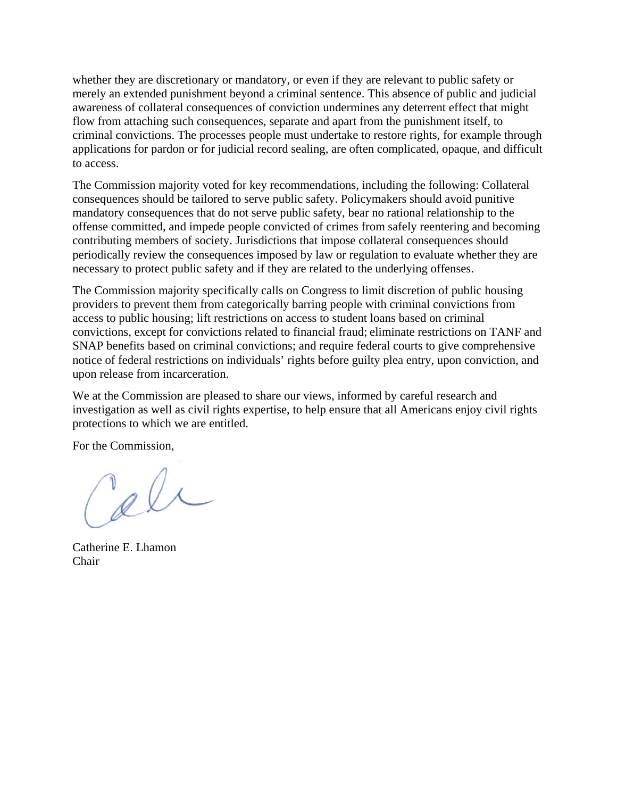whether they are discretionary or mandatory, or even if they are relevant to public safety or merely an extended punishment beyond a criminal sentence. This absence of public and judicial awareness of collateral consequences of conviction undermines any deterrent effect that might flow from attaching such consequences, separate and apart from the punishment itself, to criminal convictions. The processes people must undertake to restore rights, for example through applications for pardon or for judicial record sealing, are often complicated, opaque, and difficult to access.

The Commission majority voted for key recommendations, including the following: Collateral consequences should be tailored to serve public safety. Policymakers should avoid punitive mandatory consequences that do not serve public safety, bear no rational relationship to the offense committed, and impede people convicted of crimes from safely reentering and becoming contributing members of society. Jurisdictions that impose collateral consequences should periodically review the consequences imposed by law or regulation to evaluate whether they are necessary to protect public safety and if they are related to the underlying offenses.

The Commission majority specifically calls on Congress to limit discretion of public housing providers to prevent them from categorically barring people with criminal convictions from access to public housing; lift restrictions on access to student loans based on criminal convictions, except for convictions related to financial fraud; eliminate restrictions on TANF and SNAP benefits based on criminal convictions; and require federal courts to give comprehensive notice of federal restrictions on individuals' rights before guilty plea entry, upon conviction, and upon release from incarceration.

We at the Commission are pleased to share our views, informed by careful research and investigation as well as civil rights expertise, to help ensure that all Americans enjoy civil rights protections to which we are entitled.

For the Commission,

cele

Catherine E. Lhamon Chair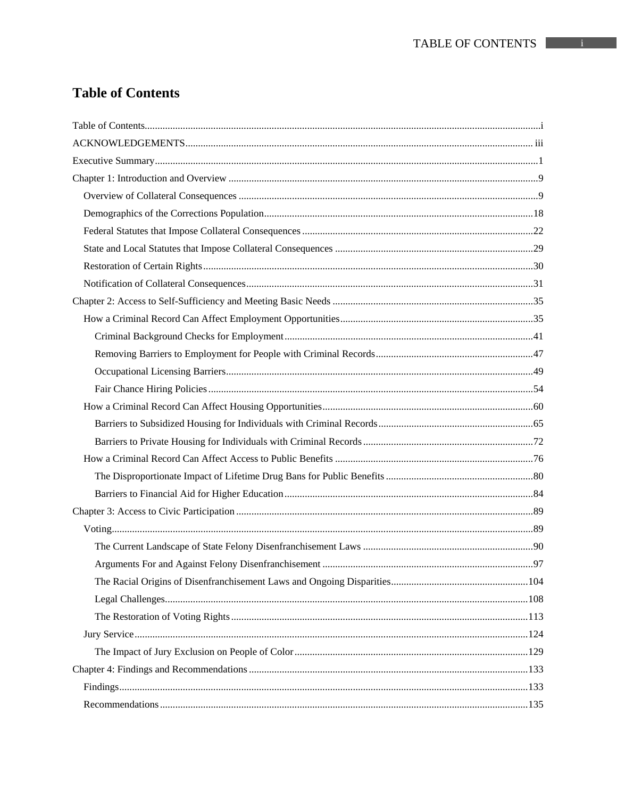# **Table of Contents**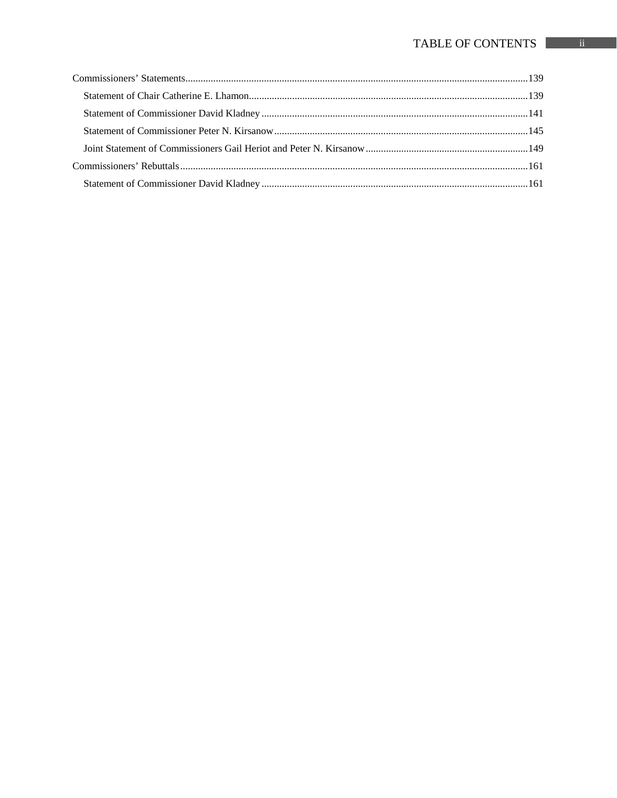# TABLE OF CONTENTS ii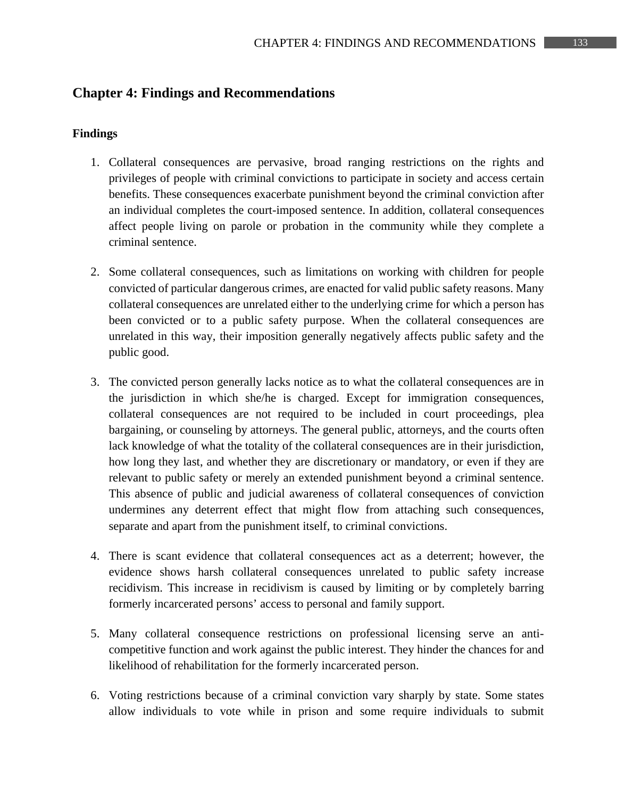# **Chapter 4: Findings and Recommendations**

#### **Findings**

- 1. Collateral consequences are pervasive, broad ranging restrictions on the rights and privileges of people with criminal convictions to participate in society and access certain benefits. These consequences exacerbate punishment beyond the criminal conviction after an individual completes the court-imposed sentence. In addition, collateral consequences affect people living on parole or probation in the community while they complete a criminal sentence.
- 2. Some collateral consequences, such as limitations on working with children for people convicted of particular dangerous crimes, are enacted for valid public safety reasons. Many collateral consequences are unrelated either to the underlying crime for which a person has been convicted or to a public safety purpose. When the collateral consequences are unrelated in this way, their imposition generally negatively affects public safety and the public good.
- 3. The convicted person generally lacks notice as to what the collateral consequences are in the jurisdiction in which she/he is charged. Except for immigration consequences, collateral consequences are not required to be included in court proceedings, plea bargaining, or counseling by attorneys. The general public, attorneys, and the courts often lack knowledge of what the totality of the collateral consequences are in their jurisdiction, how long they last, and whether they are discretionary or mandatory, or even if they are relevant to public safety or merely an extended punishment beyond a criminal sentence. This absence of public and judicial awareness of collateral consequences of conviction undermines any deterrent effect that might flow from attaching such consequences, separate and apart from the punishment itself, to criminal convictions.
- 4. There is scant evidence that collateral consequences act as a deterrent; however, the evidence shows harsh collateral consequences unrelated to public safety increase recidivism. This increase in recidivism is caused by limiting or by completely barring formerly incarcerated persons' access to personal and family support.
- 5. Many collateral consequence restrictions on professional licensing serve an anticompetitive function and work against the public interest. They hinder the chances for and likelihood of rehabilitation for the formerly incarcerated person.
- 6. Voting restrictions because of a criminal conviction vary sharply by state. Some states allow individuals to vote while in prison and some require individuals to submit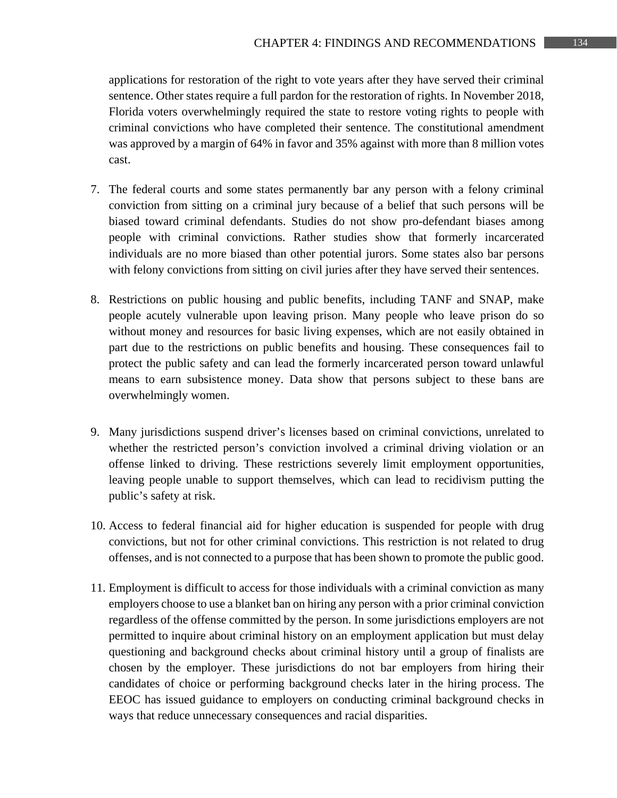applications for restoration of the right to vote years after they have served their criminal sentence. Other states require a full pardon for the restoration of rights. In November 2018, Florida voters overwhelmingly required the state to restore voting rights to people with criminal convictions who have completed their sentence. The constitutional amendment was approved by a margin of 64% in favor and 35% against with more than 8 million votes cast.

- 7. The federal courts and some states permanently bar any person with a felony criminal conviction from sitting on a criminal jury because of a belief that such persons will be biased toward criminal defendants. Studies do not show pro-defendant biases among people with criminal convictions. Rather studies show that formerly incarcerated individuals are no more biased than other potential jurors. Some states also bar persons with felony convictions from sitting on civil juries after they have served their sentences.
- 8. Restrictions on public housing and public benefits, including TANF and SNAP, make people acutely vulnerable upon leaving prison. Many people who leave prison do so without money and resources for basic living expenses, which are not easily obtained in part due to the restrictions on public benefits and housing. These consequences fail to protect the public safety and can lead the formerly incarcerated person toward unlawful means to earn subsistence money. Data show that persons subject to these bans are overwhelmingly women.
- 9. Many jurisdictions suspend driver's licenses based on criminal convictions, unrelated to whether the restricted person's conviction involved a criminal driving violation or an offense linked to driving. These restrictions severely limit employment opportunities, leaving people unable to support themselves, which can lead to recidivism putting the public's safety at risk.
- 10. Access to federal financial aid for higher education is suspended for people with drug convictions, but not for other criminal convictions. This restriction is not related to drug offenses, and is not connected to a purpose that has been shown to promote the public good.
- 11. Employment is difficult to access for those individuals with a criminal conviction as many employers choose to use a blanket ban on hiring any person with a prior criminal conviction regardless of the offense committed by the person. In some jurisdictions employers are not permitted to inquire about criminal history on an employment application but must delay questioning and background checks about criminal history until a group of finalists are chosen by the employer. These jurisdictions do not bar employers from hiring their candidates of choice or performing background checks later in the hiring process. The EEOC has issued guidance to employers on conducting criminal background checks in ways that reduce unnecessary consequences and racial disparities.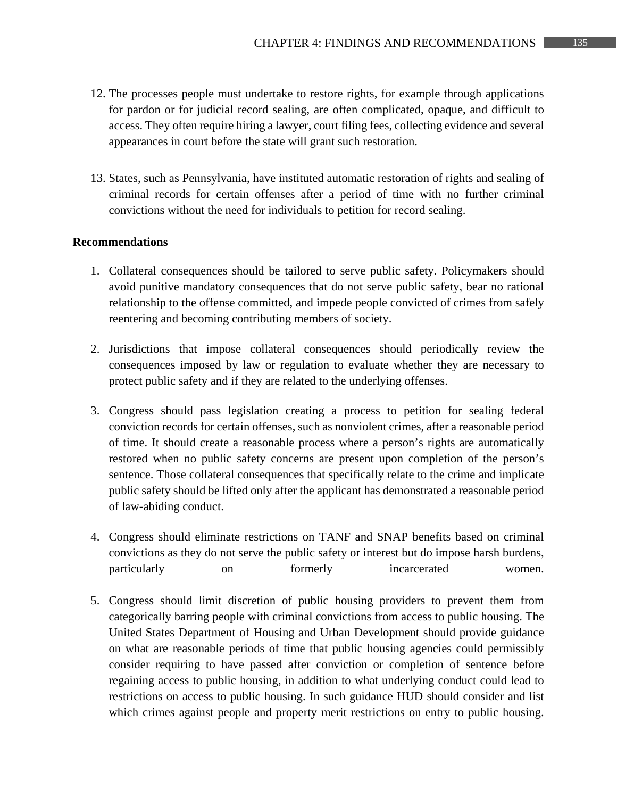- 12. The processes people must undertake to restore rights, for example through applications for pardon or for judicial record sealing, are often complicated, opaque, and difficult to access. They often require hiring a lawyer, court filing fees, collecting evidence and several appearances in court before the state will grant such restoration.
- 13. States, such as Pennsylvania, have instituted automatic restoration of rights and sealing of criminal records for certain offenses after a period of time with no further criminal convictions without the need for individuals to petition for record sealing.

#### **Recommendations**

- 1. Collateral consequences should be tailored to serve public safety. Policymakers should avoid punitive mandatory consequences that do not serve public safety, bear no rational relationship to the offense committed, and impede people convicted of crimes from safely reentering and becoming contributing members of society.
- 2. Jurisdictions that impose collateral consequences should periodically review the consequences imposed by law or regulation to evaluate whether they are necessary to protect public safety and if they are related to the underlying offenses.
- 3. Congress should pass legislation creating a process to petition for sealing federal conviction records for certain offenses, such as nonviolent crimes, after a reasonable period of time. It should create a reasonable process where a person's rights are automatically restored when no public safety concerns are present upon completion of the person's sentence. Those collateral consequences that specifically relate to the crime and implicate public safety should be lifted only after the applicant has demonstrated a reasonable period of law-abiding conduct.
- 4. Congress should eliminate restrictions on TANF and SNAP benefits based on criminal convictions as they do not serve the public safety or interest but do impose harsh burdens, particularly on formerly incarcerated women.
- 5. Congress should limit discretion of public housing providers to prevent them from categorically barring people with criminal convictions from access to public housing. The United States Department of Housing and Urban Development should provide guidance on what are reasonable periods of time that public housing agencies could permissibly consider requiring to have passed after conviction or completion of sentence before regaining access to public housing, in addition to what underlying conduct could lead to restrictions on access to public housing. In such guidance HUD should consider and list which crimes against people and property merit restrictions on entry to public housing.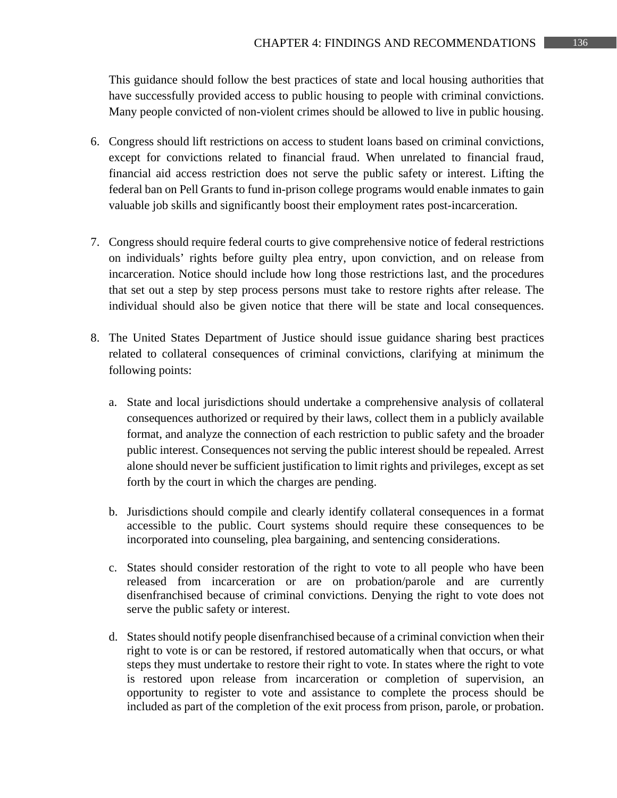This guidance should follow the best practices of state and local housing authorities that have successfully provided access to public housing to people with criminal convictions. Many people convicted of non-violent crimes should be allowed to live in public housing.

- 6. Congress should lift restrictions on access to student loans based on criminal convictions, except for convictions related to financial fraud. When unrelated to financial fraud, financial aid access restriction does not serve the public safety or interest. Lifting the federal ban on Pell Grants to fund in-prison college programs would enable inmates to gain valuable job skills and significantly boost their employment rates post-incarceration.
- 7. Congress should require federal courts to give comprehensive notice of federal restrictions on individuals' rights before guilty plea entry, upon conviction, and on release from incarceration. Notice should include how long those restrictions last, and the procedures that set out a step by step process persons must take to restore rights after release. The individual should also be given notice that there will be state and local consequences.
- 8. The United States Department of Justice should issue guidance sharing best practices related to collateral consequences of criminal convictions, clarifying at minimum the following points:
	- a. State and local jurisdictions should undertake a comprehensive analysis of collateral consequences authorized or required by their laws, collect them in a publicly available format, and analyze the connection of each restriction to public safety and the broader public interest. Consequences not serving the public interest should be repealed. Arrest alone should never be sufficient justification to limit rights and privileges, except as set forth by the court in which the charges are pending.
	- b. Jurisdictions should compile and clearly identify collateral consequences in a format accessible to the public. Court systems should require these consequences to be incorporated into counseling, plea bargaining, and sentencing considerations.
	- c. States should consider restoration of the right to vote to all people who have been released from incarceration or are on probation/parole and are currently disenfranchised because of criminal convictions. Denying the right to vote does not serve the public safety or interest.
	- d. States should notify people disenfranchised because of a criminal conviction when their right to vote is or can be restored, if restored automatically when that occurs, or what steps they must undertake to restore their right to vote. In states where the right to vote is restored upon release from incarceration or completion of supervision, an opportunity to register to vote and assistance to complete the process should be included as part of the completion of the exit process from prison, parole, or probation.